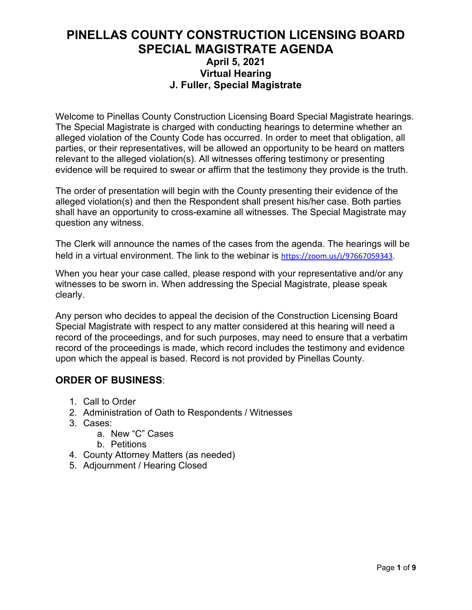## **PINELLAS COUNTY CONSTRUCTION LICENSING BOARD SPECIAL MAGISTRATE AGENDA April 5, 2021 Virtual Hearing J. Fuller, Special Magistrate**

Welcome to Pinellas County Construction Licensing Board Special Magistrate hearings. The Special Magistrate is charged with conducting hearings to determine whether an alleged violation of the County Code has occurred. In order to meet that obligation, all parties, or their representatives, will be allowed an opportunity to be heard on matters relevant to the alleged violation(s). All witnesses offering testimony or presenting evidence will be required to swear or affirm that the testimony they provide is the truth.

The order of presentation will begin with the County presenting their evidence of the alleged violation(s) and then the Respondent shall present his/her case. Both parties shall have an opportunity to cross-examine all witnesses. The Special Magistrate may question any witness.

The Clerk will announce the names of the cases from the agenda. The hearings will be held in a virtual environment. The link to the webinar is [https://zoom.us/j/97667059343.](https://zoom.us/j/97667059343)

When you hear your case called, please respond with your representative and/or any witnesses to be sworn in. When addressing the Special Magistrate, please speak clearly.

Any person who decides to appeal the decision of the Construction Licensing Board Special Magistrate with respect to any matter considered at this hearing will need a record of the proceedings, and for such purposes, may need to ensure that a verbatim record of the proceedings is made, which record includes the testimony and evidence upon which the appeal is based. Record is not provided by Pinellas County.

## **ORDER OF BUSINESS**:

- 1. Call to Order
- 2. Administration of Oath to Respondents / Witnesses
- 3. Cases:
	- a. New "C" Cases
	- b. Petitions
- 4. County Attorney Matters (as needed)
- 5. Adjournment / Hearing Closed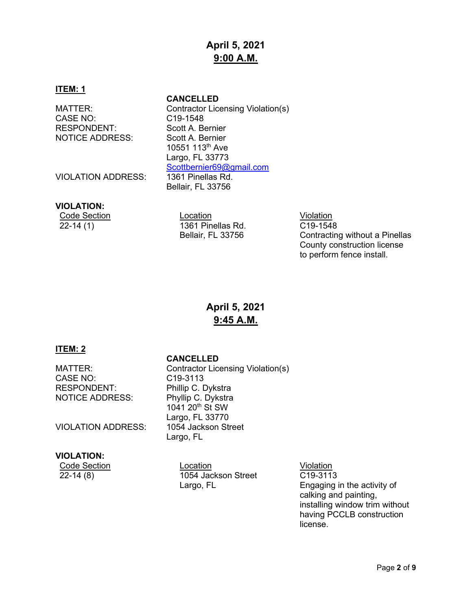# **April 5, 2021 9:00 A.M.**

### **ITEM: 1**

CASE NO: C19-1548 RESPONDENT: Scott A. Bernier<br>NOTICE ADDRESS: Scott A. Bernier **NOTICE ADDRESS:** 

**CANCELLED**

MATTER: Contractor Licensing Violation(s) 10551 113th Ave Largo, FL 33773 [Scottbernier69@gmail.com](mailto:Scottbernier69@gmail.com) Bellair, FL 33756

VIOLATION ADDRESS: 1361 Pinellas Rd.

## **VIOLATION:**

**Code Section Code Section** Code Section Code Section Code Section Code Section Code Section Code Section Code S 22-14 (1) 1361 Pinellas Rd. Bellair, FL 33756

C19-1548 Contracting without a Pinellas County construction license to perform fence install.

# **April 5, 2021 9:45 A.M.**

## **ITEM: 2**

## **CANCELLED**

MATTER: Contractor Licensing Violation(s) CASE NO: CASE NO: C19-3113<br>RESPONDENT: Phillip C. D Phillip C. Dykstra NOTICE ADDRESS: Phyllip C. Dykstra 1041 20th St SW Largo, FL 33770 VIOLATION ADDRESS: 1054 Jackson Street Largo, FL

## **VIOLATION:**

Code Section Location Location Location Violation<br>22-14 (8) 1054 Jackson Street C19-311 1054 Jackson Street Largo, FL

C19-3113 Engaging in the activity of calking and painting, installing window trim without having PCCLB construction license.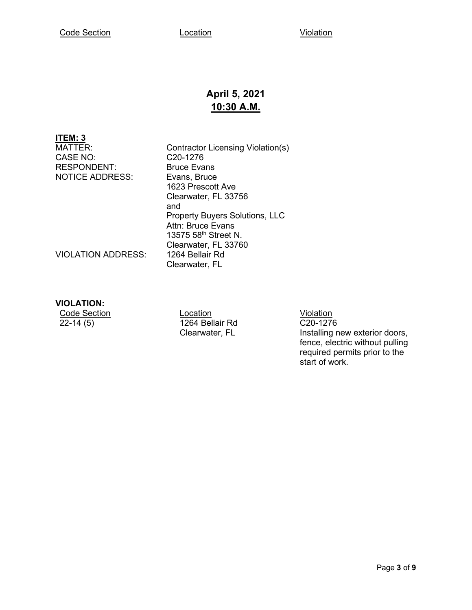# **April 5, 2021 10:30 A.M.**

## **ITEM: 3**

CASE NO: C20-1276<br>
RESPONDENT: Bruce Evans RESPONDENT: NOTICE ADDRESS: Evans, Bruce

MATTER: Contractor Licensing Violation(s)<br>CASE NO: C20-1276 1623 Prescott Ave Clearwater, FL 33756 and Property Buyers Solutions, LLC Attn: Bruce Evans 13575 58th Street N. Clearwater, FL 33760 Clearwater, FL

VIOLATION ADDRESS:

## **VIOLATION:**

Code Section Location Location Location Violation Violation<br>22-14 (5) 1264 Bellair Rd C20-1276 1264 Bellair Rd Clearwater, FL

C20-1276 Installing new exterior doors, fence, electric without pulling required permits prior to the start of work.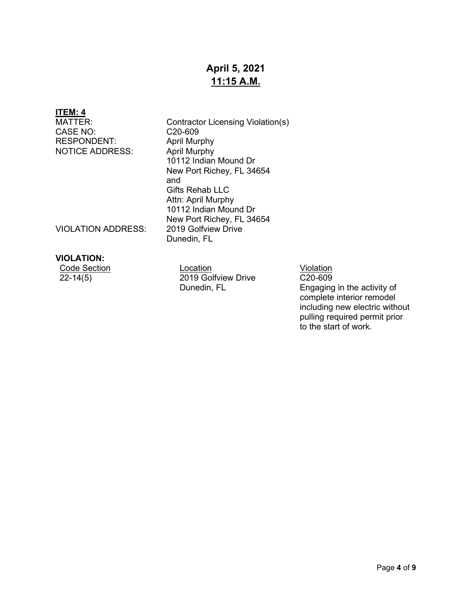# **April 5, 2021 11:15 A.M.**

# **ITEM: 4**

CASE NO: CASE NO: C20-609<br>RESPONDENT: April Murphy RESPONDENT: NOTICE ADDRESS: April Murphy

Contractor Licensing Violation(s)<br>C20-609 10112 Indian Mound Dr New Port Richey, FL 34654 and Gifts Rehab LLC Attn: April Murphy 10112 Indian Mound Dr New Port Richey, FL 34654<br>2019 Golfview Drive Dunedin, FL

VIOLATION ADDRESS:

## **VIOLATION:**

| Code Section | Location            | Violation |
|--------------|---------------------|-----------|
| $22 - 14(5)$ | 2019 Golfview Drive | C20-609   |
|              | Dunedin, FL         | Engaging  |

C20-609 Engaging in the activity of complete interior remodel including new electric without pulling required permit prior to the start of work.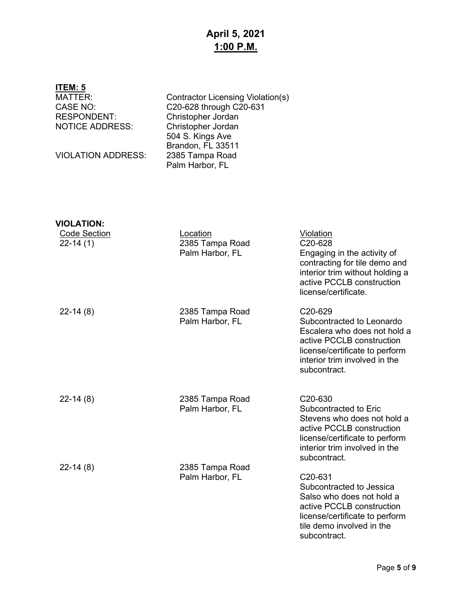# **April 5, 2021 1:00 P.M.**

| ITEM: 5                                                                           |                                                                                                                                                   |                                                                                                                                                                                      |
|-----------------------------------------------------------------------------------|---------------------------------------------------------------------------------------------------------------------------------------------------|--------------------------------------------------------------------------------------------------------------------------------------------------------------------------------------|
| <b>MATTER:</b><br><b>CASE NO:</b><br><b>RESPONDENT:</b><br><b>NOTICE ADDRESS:</b> | Contractor Licensing Violation(s)<br>C20-628 through C20-631<br>Christopher Jordan<br>Christopher Jordan<br>504 S. Kings Ave<br>Brandon, FL 33511 |                                                                                                                                                                                      |
| <b>VIOLATION ADDRESS:</b>                                                         | 2385 Tampa Road<br>Palm Harbor, FL                                                                                                                |                                                                                                                                                                                      |
| <b>VIOLATION:</b>                                                                 |                                                                                                                                                   |                                                                                                                                                                                      |
| <b>Code Section</b><br>$22-14(1)$                                                 | Location<br>2385 Tampa Road<br>Palm Harbor, FL                                                                                                    | Violation<br>C20-628<br>Engaging in the activity of<br>contracting for tile demo and<br>interior trim without holding a<br>active PCCLB construction<br>license/certificate.         |
| $22-14(8)$                                                                        | 2385 Tampa Road<br>Palm Harbor, FL                                                                                                                | C20-629<br>Subcontracted to Leonardo<br>Escalera who does not hold a<br>active PCCLB construction<br>license/certificate to perform<br>interior trim involved in the<br>subcontract. |
| $22-14(8)$                                                                        | 2385 Tampa Road<br>Palm Harbor, FL                                                                                                                | C20-630<br>Subcontracted to Eric<br>Stevens who does not hold a<br>active PCCLB construction<br>license/certificate to perform<br>interior trim involved in the<br>subcontract.      |
| $22-14(8)$                                                                        | 2385 Tampa Road<br>Palm Harbor, FL                                                                                                                | C20-631<br>Subcontracted to Jessica<br>Salso who does not hold a<br>active PCCLB construction<br>license/certificate to perform<br>tile demo involved in the                         |

subcontract.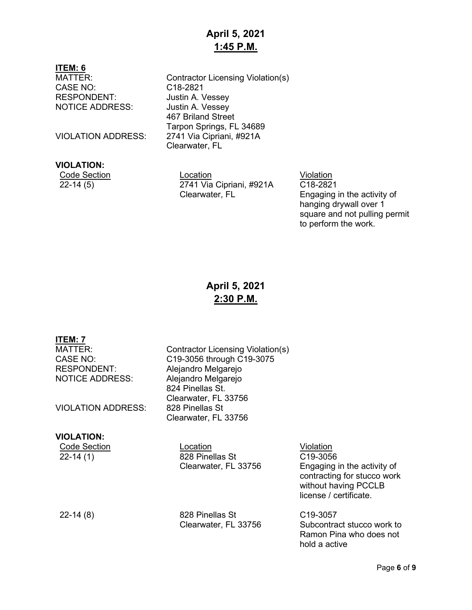# **April 5, 2021 1:45 P.M.**

## **ITEM: 6**

CASE NO: C18-2821 RESPONDENT: Justin A. Vessey NOTICE ADDRESS: Justin A. Vessey

### **VIOLATION:**

MATTER: Contractor Licensing Violation(s) 467 Briland Street Tarpon Springs, FL 34689 VIOLATION ADDRESS: 2741 Via Cipriani, #921A Clearwater, FL

**Code Section Code Section Code Section** 22-14 (5) 2741 Via Cipriani, #921A Clearwater, FL

 $C18 - 2821$ Engaging in the activity of hanging drywall over 1 square and not pulling permit to perform the work.

# **April 5, 2021 2:30 P.M.**

# **ITEM: 7**

RESPONDENT: Alejandro Melgarejo<br>
NOTICE ADDRESS: Aleiandro Melgarejo

**VIOLATION ADDRESS:** 

### **VIOLATION:**

Contractor Licensing Violation(s) CASE NO: C19-3056 through C19-3075<br>RESPONDENT: Alejandro Melgarejo Alejandro Melgarejo 824 Pinellas St. Clearwater, FL 33756 Clearwater, FL 33756

Code Section **Location Code Section** 22-14 (1) 828 Pinellas St Clearwater, FL 33756

22-14 (8) 828 Pinellas St Clearwater, FL 33756

C19-3056 Engaging in the activity of contracting for stucco work without having PCCLB license / certificate.

C19-3057 Subcontract stucco work to Ramon Pina who does not hold a active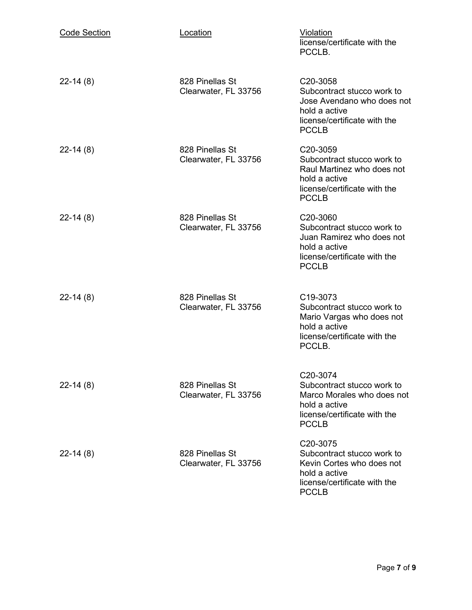| <b>Code Section</b> | Location                                | <b>Violation</b><br>license/certificate with the<br>PCCLB.                                                                                         |
|---------------------|-----------------------------------------|----------------------------------------------------------------------------------------------------------------------------------------------------|
| $22-14(8)$          | 828 Pinellas St<br>Clearwater, FL 33756 | C <sub>20</sub> -3058<br>Subcontract stucco work to<br>Jose Avendano who does not<br>hold a active<br>license/certificate with the<br><b>PCCLB</b> |
| $22-14(8)$          | 828 Pinellas St<br>Clearwater, FL 33756 | C <sub>20</sub> -3059<br>Subcontract stucco work to<br>Raul Martinez who does not<br>hold a active<br>license/certificate with the<br><b>PCCLB</b> |
| $22-14(8)$          | 828 Pinellas St<br>Clearwater, FL 33756 | C <sub>20</sub> -3060<br>Subcontract stucco work to<br>Juan Ramirez who does not<br>hold a active<br>license/certificate with the<br><b>PCCLB</b>  |
| $22-14(8)$          | 828 Pinellas St<br>Clearwater, FL 33756 | C19-3073<br>Subcontract stucco work to<br>Mario Vargas who does not<br>hold a active<br>license/certificate with the<br>PCCLB.                     |
| $22-14(8)$          | 828 Pinellas St<br>Clearwater, FL 33756 | C20-3074<br>Subcontract stucco work to<br>Marco Morales who does not<br>hold a active<br>license/certificate with the<br><b>PCCLB</b>              |
| $22 - 14(8)$        | 828 Pinellas St<br>Clearwater, FL 33756 | C20-3075<br>Subcontract stucco work to<br>Kevin Cortes who does not<br>hold a active<br>license/certificate with the<br><b>PCCLB</b>               |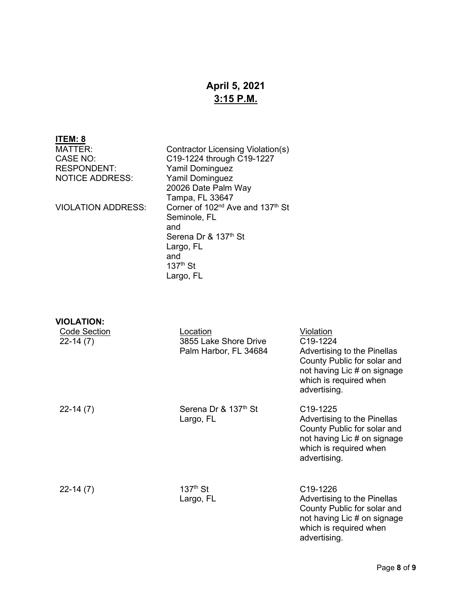# **April 5, 2021 3:15 P.M.**

# **ITEM: 8**

NOTICE ADDRESS:

MATTER: Contractor Licensing Violation(s)<br>CASE NO: C19-1224 through C19-1227 CASE NO: C19-1224 through C19-1227<br>RESPONDENT: Yamil Dominguez Yamil Dominguez<br>Yamil Dominguez 20026 Date Palm Way Tampa, FL 33647 VIOLATION ADDRESS: Corner of 102<sup>nd</sup> Ave and 137<sup>th</sup> St Seminole, FL and Serena Dr & 137<sup>th</sup> St Largo, FL and  $137<sup>th</sup>$  St Largo, FL

**VIOLATION:**

| <b>Code Section</b><br>$22-14(7)$ | Location<br>3855 Lake Shore Drive<br>Palm Harbor, FL 34684 | Violation<br>C19-1224<br>Advertising to the Pinellas<br>County Public for solar and<br>not having Lic # on signage<br>which is required when<br>advertising. |
|-----------------------------------|------------------------------------------------------------|--------------------------------------------------------------------------------------------------------------------------------------------------------------|
| $22-14(7)$                        | Serena Dr & 137th St<br>Largo, FL                          | C <sub>19</sub> -1225<br>Advertising to the Pinellas<br>County Public for solar and<br>not having Lic # on signage<br>which is required when<br>advertising. |
| $22-14(7)$                        | $137th$ St<br>Largo, FL                                    | C <sub>19</sub> -1226<br>Advertising to the Pinellas<br>County Public for solar and<br>not having Lic # on signage<br>which is required when<br>advertising. |